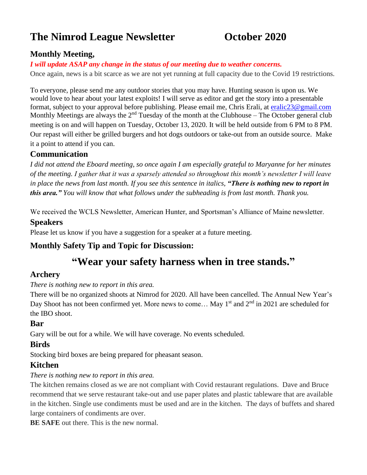# **The Nimrod League Newsletter October 2020**

## **Monthly Meeting,**

#### *I will update ASAP any change in the status of our meeting due to weather concerns.*

Once again, news is a bit scarce as we are not yet running at full capacity due to the Covid 19 restrictions.

To everyone, please send me any outdoor stories that you may have. Hunting season is upon us. We would love to hear about your latest exploits! I will serve as editor and get the story into a presentable format, subject to your approval before publishing. Please email me, Chris Erali, at [eralic23@gmail.com](mailto:eralic23@gmail.com) Monthly Meetings are always the  $2<sup>nd</sup>$  Tuesday of the month at the Clubhouse – The October general club meeting is on and will happen on Tuesday, October 13, 2020. It will be held outside from 6 PM to 8 PM. Our repast will either be grilled burgers and hot dogs outdoors or take-out from an outside source. Make it a point to attend if you can.

#### **Communication**

*I did not attend the Eboard meeting, so once again I am especially grateful to Maryanne for her minutes of the meeting. I gather that it was a sparsely attended so throughout this month's newsletter I will leave in place the news from last month. If you see this sentence in italics, "There is nothing new to report in this area." You will know that what follows under the subheading is from last month. Thank you.*

We received the WCLS Newsletter, American Hunter, and Sportsman's Alliance of Maine newsletter. **Speakers**

Please let us know if you have a suggestion for a speaker at a future meeting.

#### **Monthly Safety Tip and Topic for Discussion:**

# **"Wear your safety harness when in tree stands."**

#### **Archery**

#### *There is nothing new to report in this area.*

There will be no organized shoots at Nimrod for 2020. All have been cancelled. The Annual New Year's Day Shoot has not been confirmed yet. More news to come... May 1<sup>st</sup> and 2<sup>nd</sup> in 2021 are scheduled for the IBO shoot.

#### **Bar**

Gary will be out for a while. We will have coverage. No events scheduled.

#### **Birds**

Stocking bird boxes are being prepared for pheasant season.

#### **Kitchen**

#### *There is nothing new to report in this area.*

The kitchen remains closed as we are not compliant with Covid restaurant regulations. Dave and Bruce recommend that we serve restaurant take-out and use paper plates and plastic tableware that are available in the kitchen. Single use condiments must be used and are in the kitchen. The days of buffets and shared large containers of condiments are over.

**BE SAFE** out there. This is the new normal.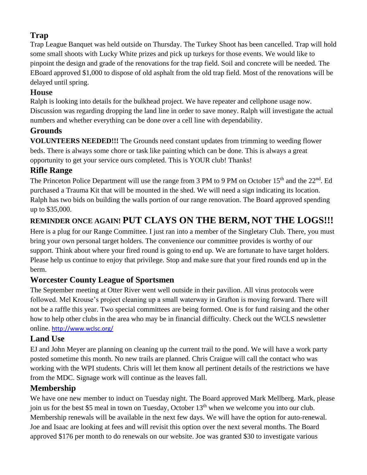# **Trap**

Trap League Banquet was held outside on Thursday. The Turkey Shoot has been cancelled. Trap will hold some small shoots with Lucky White prizes and pick up turkeys for those events. We would like to pinpoint the design and grade of the renovations for the trap field. Soil and concrete will be needed. The EBoard approved \$1,000 to dispose of old asphalt from the old trap field. Most of the renovations will be delayed until spring.

#### **House**

Ralph is looking into details for the bulkhead project. We have repeater and cellphone usage now. Discussion was regarding dropping the land line in order to save money. Ralph will investigate the actual numbers and whether everything can be done over a cell line with dependability.

#### **Grounds**

**VOLUNTEERS NEEDED!!!** The Grounds need constant updates from trimming to weeding flower beds. There is always some chore or task like painting which can be done. This is always a great opportunity to get your service ours completed. This is YOUR club! Thanks!

## **Rifle Range**

The Princeton Police Department will use the range from 3 PM to 9 PM on October 15<sup>th</sup> and the 22<sup>nd</sup>. Ed purchased a Trauma Kit that will be mounted in the shed. We will need a sign indicating its location. Ralph has two bids on building the walls portion of our range renovation. The Board approved spending up to \$35,000.

# **REMINDER ONCE AGAIN! PUT CLAYS ON THE BERM, NOT THE LOGS!!!**

Here is a plug for our Range Committee. I just ran into a member of the Singletary Club. There, you must bring your own personal target holders. The convenience our committee provides is worthy of our support. Think about where your fired round is going to end up. We are fortunate to have target holders. Please help us continue to enjoy that privilege. Stop and make sure that your fired rounds end up in the berm.

# **Worcester County League of Sportsmen**

The September meeting at Otter River went well outside in their pavilion. All virus protocols were followed. Mel Krouse's project cleaning up a small waterway in Grafton is moving forward. There will not be a raffle this year. Two special committees are being formed. One is for fund raising and the other how to help other clubs in the area who may be in financial difficulty. Check out the WCLS newsletter online. <http://www.wclsc.org/>

## **Land Use**

EJ and John Meyer are planning on cleaning up the current trail to the pond. We will have a work party posted sometime this month. No new trails are planned. Chris Craigue will call the contact who was working with the WPI students. Chris will let them know all pertinent details of the restrictions we have from the MDC. Signage work will continue as the leaves fall.

## **Membership**

We have one new member to induct on Tuesday night. The Board approved Mark Mellberg. Mark, please join us for the best \$5 meal in town on Tuesday, October 13<sup>th</sup> when we welcome you into our club. Membership renewals will be available in the next few days. We will have the option for auto-renewal. Joe and Isaac are looking at fees and will revisit this option over the next several months. The Board approved \$176 per month to do renewals on our website. Joe was granted \$30 to investigate various